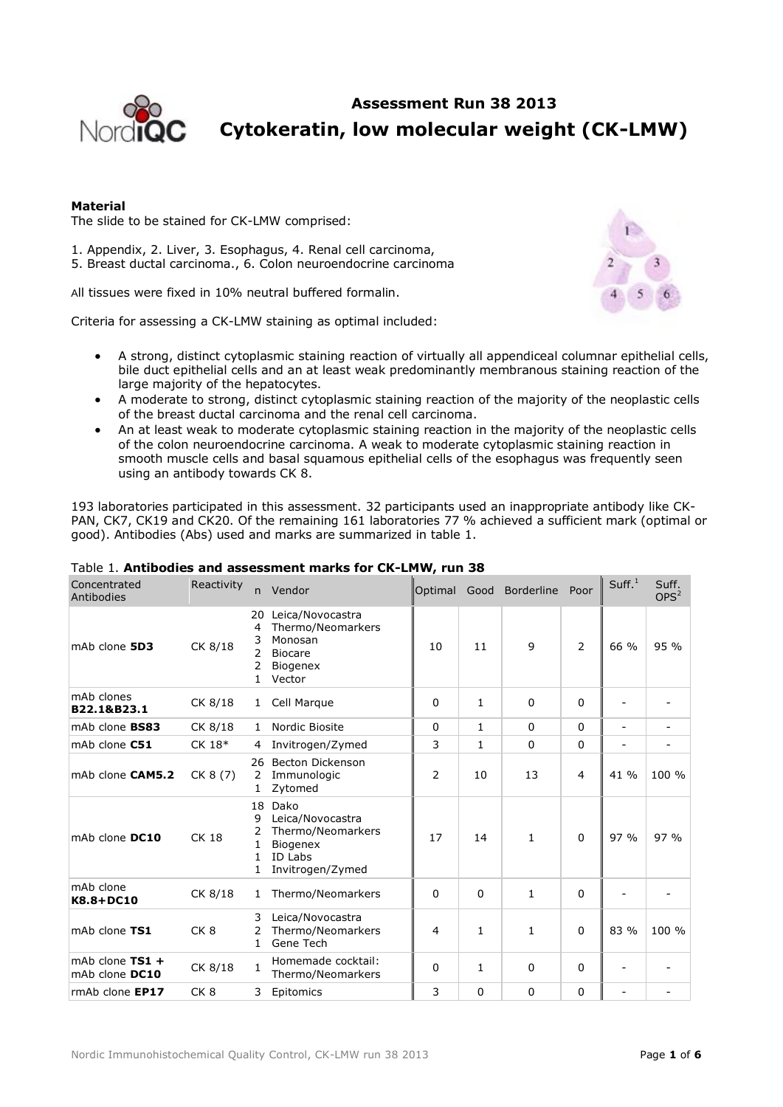

**Assessment Run 38 2013 Cytokeratin, low molecular weight (CK-LMW)**

# **Material**

The slide to be stained for CK-LMW comprised:

- 1. Appendix, 2. Liver, 3. Esophagus, 4. Renal cell carcinoma,
- 5. Breast ductal carcinoma., 6. Colon neuroendocrine carcinoma

All tissues were fixed in 10% neutral buffered formalin.

Criteria for assessing a CK-LMW staining as optimal included:



- A strong, distinct cytoplasmic staining reaction of virtually all appendiceal columnar epithelial cells, bile duct epithelial cells and an at least weak predominantly membranous staining reaction of the large majority of the hepatocytes.
- A moderate to strong, distinct cytoplasmic staining reaction of the majority of the neoplastic cells of the breast ductal carcinoma and the renal cell carcinoma.
- An at least weak to moderate cytoplasmic staining reaction in the majority of the neoplastic cells of the colon neuroendocrine carcinoma. A weak to moderate cytoplasmic staining reaction in smooth muscle cells and basal squamous epithelial cells of the esophagus was frequently seen using an antibody towards CK 8.

193 laboratories participated in this assessment. 32 participants used an inappropriate antibody like CK-PAN, CK7, CK19 and CK20. Of the remaining 161 laboratories 77 % achieved a sufficient mark (optimal or good). Antibodies (Abs) used and marks are summarized in table 1.

| Concentrated<br>Antibodies          | Reactivity      | n.                          | Vendor                                                                                          | Optimal | Good         | <b>Borderline</b> | Poor           | Suff. <sup>1</sup> | Suff.<br>OPS <sup>2</sup> |
|-------------------------------------|-----------------|-----------------------------|-------------------------------------------------------------------------------------------------|---------|--------------|-------------------|----------------|--------------------|---------------------------|
| mAb clone 5D3                       | CK 8/18         | 20<br>4<br>3<br>2<br>2      | Leica/Novocastra<br>Thermo/Neomarkers<br>Monosan<br><b>Biocare</b><br><b>Biogenex</b><br>Vector | 10      | 11           | 9                 | $\overline{2}$ | 66 %               | 95 %                      |
| mAb clones<br>B22.1&B23.1           | CK 8/18         | $\mathbf{1}$                | Cell Marque                                                                                     | 0       | 1            | 0                 | 0              |                    |                           |
| mAb clone <b>BS83</b>               | CK 8/18         | $\mathbf{1}$                | Nordic Biosite                                                                                  | 0       | $\mathbf{1}$ | $\Omega$          | $\Omega$       | $\blacksquare$     | $\overline{\phantom{a}}$  |
| mAb clone C51                       | CK 18*          | 4                           | Invitrogen/Zymed                                                                                | 3       | $\mathbf{1}$ | $\Omega$          | $\Omega$       |                    | $\overline{\phantom{a}}$  |
| mAb clone CAM5.2                    | CK 8 (7)        | 26<br>2<br>1                | <b>Becton Dickenson</b><br>Immunologic<br>Zytomed                                               | 2       | 10           | 13                | 4              | 41 %               | 100 %                     |
| mAb clone DC10                      | <b>CK 18</b>    | 18<br>9<br>2<br>1<br>1<br>1 | Dako<br>Leica/Novocastra<br>Thermo/Neomarkers<br>Biogenex<br>ID Labs<br>Invitrogen/Zymed        | 17      | 14           | $\mathbf{1}$      | $\mathbf 0$    | 97 %               | 97 %                      |
| mAb clone<br>K8.8+DC10              | CK 8/18         | 1                           | Thermo/Neomarkers                                                                               | 0       | $\Omega$     | $\mathbf{1}$      | 0              |                    |                           |
| mAb clone TS1                       | CK <sub>8</sub> | 3<br>2<br>1                 | Leica/Novocastra<br>Thermo/Neomarkers<br>Gene Tech                                              | 4       | 1            | $\mathbf{1}$      | $\mathbf 0$    | 83 %               | 100 %                     |
| mAb clone $TS1 +$<br>mAb clone DC10 | CK 8/18         | 1                           | Homemade cocktail:<br>Thermo/Neomarkers                                                         | 0       | 1            | 0                 | 0              |                    |                           |
| rmAb clone EP17                     | CK <sub>8</sub> | 3                           | Epitomics                                                                                       | 3       | $\Omega$     | 0                 | 0              |                    |                           |

# Table 1. **Antibodies and assessment marks for CK-LMW, run 38**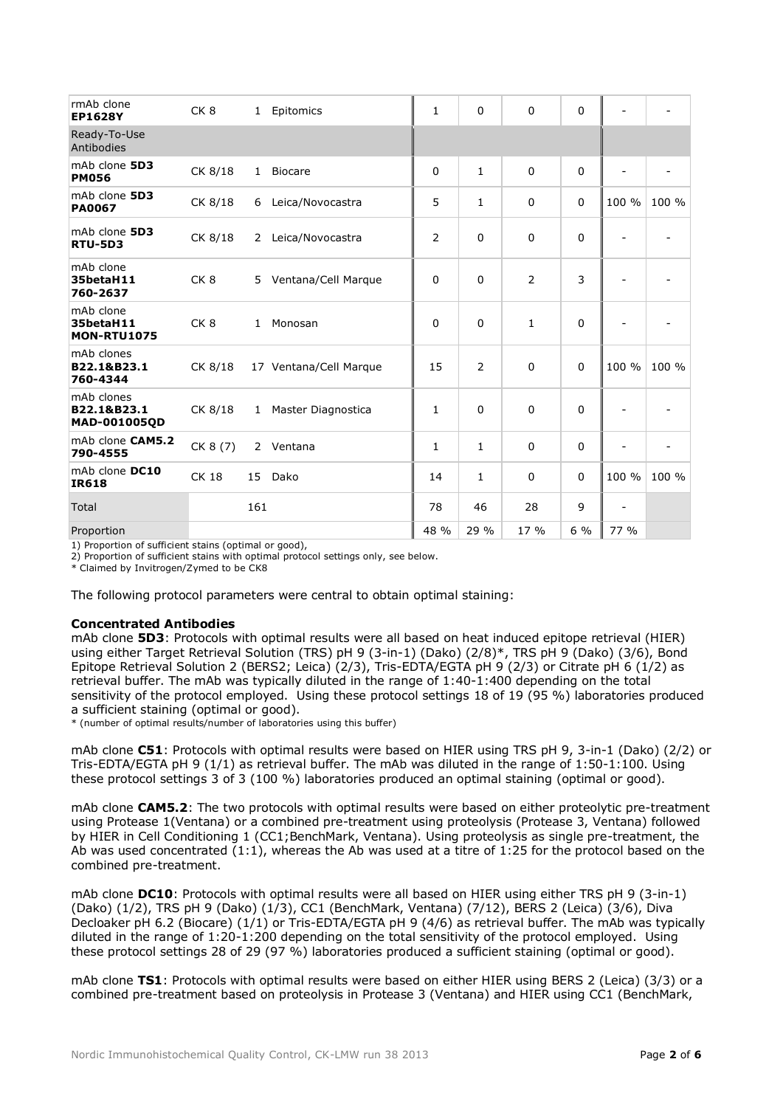| rmAb clone<br><b>EP1628Y</b>                     | CK <sub>8</sub> | $\mathbf{1}$ | Epitomics              | 1            | $\Omega$       | $\Omega$       | 0            |       |       |
|--------------------------------------------------|-----------------|--------------|------------------------|--------------|----------------|----------------|--------------|-------|-------|
| Ready-To-Use<br>Antibodies                       |                 |              |                        |              |                |                |              |       |       |
| mAb clone 5D3<br><b>PM056</b>                    | CK 8/18         | $\mathbf{1}$ | <b>Biocare</b>         | $\mathbf 0$  | $\mathbf{1}$   | $\overline{0}$ | $\mathbf 0$  |       |       |
| mAb clone 5D3<br><b>PA0067</b>                   | CK 8/18         | 6            | Leica/Novocastra       | 5            | $\mathbf{1}$   | $\mathbf 0$    | $\mathbf 0$  | 100 % | 100 % |
| mAb clone 5D3<br><b>RTU-5D3</b>                  | CK 8/18         | $\mathbf{2}$ | Leica/Novocastra       | 2            | $\Omega$       | $\overline{0}$ | $\mathbf{0}$ |       |       |
| mAb clone<br>35betaH11<br>760-2637               | CK <sub>8</sub> | 5            | Ventana/Cell Marque    | 0            | $\Omega$       | $\overline{2}$ | 3            |       |       |
| mAb clone<br>35betaH11<br><b>MON-RTU1075</b>     | CK <sub>8</sub> | $\mathbf{1}$ | Monosan                | 0            | 0              | $\mathbf{1}$   | 0            |       |       |
| mAb clones<br>B22.1&B23.1<br>760-4344            | CK 8/18         |              | 17 Ventana/Cell Marque | 15           | $\overline{2}$ | $\mathbf 0$    | $\mathbf 0$  | 100 % | 100 % |
| mAb clones<br>B22.1&B23.1<br><b>MAD-001005QD</b> | CK 8/18         | $\mathbf{1}$ | Master Diagnostica     | $\mathbf{1}$ | $\Omega$       | $\overline{0}$ | $\mathbf{0}$ |       |       |
| mAb clone CAM5.2<br>790-4555                     | CK 8 (7)        | $\mathbf{2}$ | Ventana                | 1            | $\mathbf{1}$   | $\mathbf 0$    | 0            |       |       |
| mAb clone DC10<br><b>IR618</b>                   | <b>CK 18</b>    | 15           | Dako                   | 14           | 1              | $\Omega$       | $\Omega$     | 100 % | 100 % |
| Total                                            |                 | 161          |                        | 78           | 46             | 28             | 9            | ٠     |       |
| Proportion                                       |                 |              |                        | 48 %         | 29 %           | 17 %           | $6\%$        | 77 %  |       |

1) Proportion of sufficient stains (optimal or good),

2) Proportion of sufficient stains with optimal protocol settings only, see below.

\* Claimed by Invitrogen/Zymed to be CK8

The following protocol parameters were central to obtain optimal staining:

#### **Concentrated Antibodies**

mAb clone **5D3**: Protocols with optimal results were all based on heat induced epitope retrieval (HIER) using either Target Retrieval Solution (TRS) pH 9 (3-in-1) (Dako) (2/8)\*, TRS pH 9 (Dako) (3/6), Bond Epitope Retrieval Solution 2 (BERS2; Leica) (2/3), Tris-EDTA/EGTA pH 9 (2/3) or Citrate pH 6 (1/2) as retrieval buffer. The mAb was typically diluted in the range of 1:40-1:400 depending on the total sensitivity of the protocol employed. Using these protocol settings 18 of 19 (95 %) laboratories produced a sufficient staining (optimal or good).

\* (number of optimal results/number of laboratories using this buffer)

mAb clone **C51**: Protocols with optimal results were based on HIER using TRS pH 9, 3-in-1 (Dako) (2/2) or Tris-EDTA/EGTA pH 9 (1/1) as retrieval buffer. The mAb was diluted in the range of 1:50-1:100. Using these protocol settings 3 of 3 (100 %) laboratories produced an optimal staining (optimal or good).

mAb clone **CAM5.2**: The two protocols with optimal results were based on either proteolytic pre-treatment using Protease 1(Ventana) or a combined pre-treatment using proteolysis (Protease 3, Ventana) followed by HIER in Cell Conditioning 1 (CC1;BenchMark, Ventana). Using proteolysis as single pre-treatment, the Ab was used concentrated  $(1:1)$ , whereas the Ab was used at a titre of 1:25 for the protocol based on the combined pre-treatment.

mAb clone **DC10**: Protocols with optimal results were all based on HIER using either TRS pH 9 (3-in-1) (Dako) (1/2), TRS pH 9 (Dako) (1/3), CC1 (BenchMark, Ventana) (7/12), BERS 2 (Leica) (3/6), Diva Decloaker pH 6.2 (Biocare) (1/1) or Tris-EDTA/EGTA pH 9 (4/6) as retrieval buffer. The mAb was typically diluted in the range of 1:20-1:200 depending on the total sensitivity of the protocol employed. Using these protocol settings 28 of 29 (97 %) laboratories produced a sufficient staining (optimal or good).

mAb clone **TS1**: Protocols with optimal results were based on either HIER using BERS 2 (Leica) (3/3) or a combined pre-treatment based on proteolysis in Protease 3 (Ventana) and HIER using CC1 (BenchMark,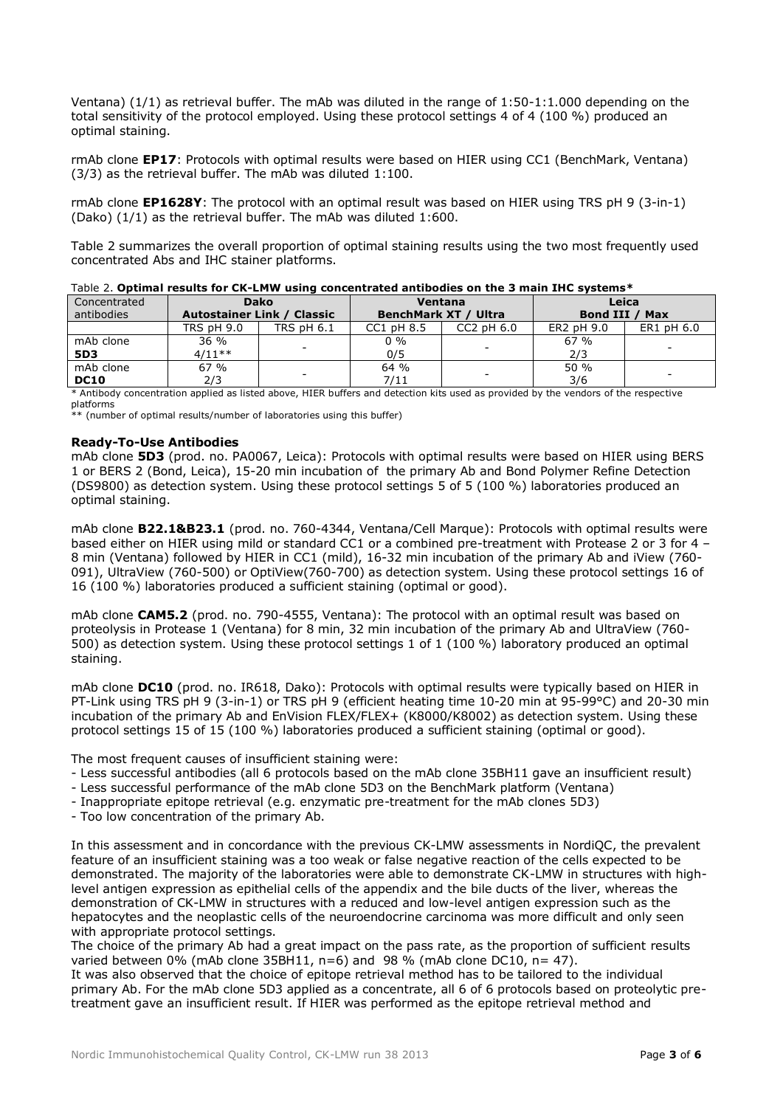Ventana) (1/1) as retrieval buffer. The mAb was diluted in the range of 1:50-1:1.000 depending on the total sensitivity of the protocol employed. Using these protocol settings 4 of 4 (100 %) produced an optimal staining.

rmAb clone **EP17**: Protocols with optimal results were based on HIER using CC1 (BenchMark, Ventana) (3/3) as the retrieval buffer. The mAb was diluted 1:100.

rmAb clone **EP1628Y**: The protocol with an optimal result was based on HIER using TRS pH 9 (3-in-1) (Dako) (1/1) as the retrieval buffer. The mAb was diluted 1:600.

Table 2 summarizes the overall proportion of optimal staining results using the two most frequently used concentrated Abs and IHC stainer platforms.

| $10010$ cf. whening i counts for which would concentrated directories on the schematic spectrum. |                                   |                   |            |                      |                       |                          |  |  |  |  |
|--------------------------------------------------------------------------------------------------|-----------------------------------|-------------------|------------|----------------------|-----------------------|--------------------------|--|--|--|--|
| Concentrated                                                                                     | <b>Dako</b>                       |                   |            | Ventana              | Leica                 |                          |  |  |  |  |
| antibodies                                                                                       | <b>Autostainer Link / Classic</b> |                   |            | BenchMark XT / Ultra | <b>Bond III / Max</b> |                          |  |  |  |  |
|                                                                                                  | <b>TRS pH 9.0</b>                 | <b>TRS pH 6.1</b> | CC1 pH 8.5 | $CC2$ pH $6.0$       | ER2 pH 9.0            | ER1 pH 6.0               |  |  |  |  |
| mAb clone                                                                                        | 36 %                              |                   | $0\%$      |                      | 67%                   | $\overline{\phantom{a}}$ |  |  |  |  |
| 5D3                                                                                              | $4/11**$                          |                   | 0/5        |                      | 2/3                   |                          |  |  |  |  |
| mAb clone                                                                                        | 67%                               |                   | 64 %       |                      | 50 %                  |                          |  |  |  |  |
| <b>DC10</b>                                                                                      | 2/3                               | -                 | 7/11       | -                    | 3/6                   | -                        |  |  |  |  |

| Table 2. Optimal results for CK-LMW using concentrated antibodies on the 3 main IHC systems* |  |  |  |  |
|----------------------------------------------------------------------------------------------|--|--|--|--|

\* Antibody concentration applied as listed above, HIER buffers and detection kits used as provided by the vendors of the respective platforms

\*\* (number of optimal results/number of laboratories using this buffer)

#### **Ready-To-Use Antibodies**

mAb clone **5D3** (prod. no. PA0067, Leica): Protocols with optimal results were based on HIER using BERS 1 or BERS 2 (Bond, Leica), 15-20 min incubation of the primary Ab and Bond Polymer Refine Detection (DS9800) as detection system. Using these protocol settings 5 of 5 (100 %) laboratories produced an optimal staining.

mAb clone **B22.1&B23.1** (prod. no. 760-4344, Ventana/Cell Marque): Protocols with optimal results were based either on HIER using mild or standard CC1 or a combined pre-treatment with Protease 2 or 3 for 4 – 8 min (Ventana) followed by HIER in CC1 (mild), 16-32 min incubation of the primary Ab and iView (760- 091), UltraView (760-500) or OptiView(760-700) as detection system. Using these protocol settings 16 of 16 (100 %) laboratories produced a sufficient staining (optimal or good).

mAb clone **CAM5.2** (prod. no. 790-4555, Ventana): The protocol with an optimal result was based on proteolysis in Protease 1 (Ventana) for 8 min, 32 min incubation of the primary Ab and UltraView (760- 500) as detection system. Using these protocol settings 1 of 1 (100 %) laboratory produced an optimal staining.

mAb clone **DC10** (prod. no. IR618, Dako): Protocols with optimal results were typically based on HIER in PT-Link using TRS pH 9 (3-in-1) or TRS pH 9 (efficient heating time 10-20 min at 95-99°C) and 20-30 min incubation of the primary Ab and EnVision FLEX/FLEX+ (K8000/K8002) as detection system. Using these protocol settings 15 of 15 (100 %) laboratories produced a sufficient staining (optimal or good).

The most frequent causes of insufficient staining were:

- Less successful antibodies (all 6 protocols based on the mAb clone 35BH11 gave an insufficient result)
- Less successful performance of the mAb clone 5D3 on the BenchMark platform (Ventana)
- Inappropriate epitope retrieval (e.g. enzymatic pre-treatment for the mAb clones 5D3)
- Too low concentration of the primary Ab.

In this assessment and in concordance with the previous CK-LMW assessments in NordiQC, the prevalent feature of an insufficient staining was a too weak or false negative reaction of the cells expected to be demonstrated. The majority of the laboratories were able to demonstrate CK-LMW in structures with highlevel antigen expression as epithelial cells of the appendix and the bile ducts of the liver, whereas the demonstration of CK-LMW in structures with a reduced and low-level antigen expression such as the hepatocytes and the neoplastic cells of the neuroendocrine carcinoma was more difficult and only seen with appropriate protocol settings.

The choice of the primary Ab had a great impact on the pass rate, as the proportion of sufficient results varied between  $0\%$  (mAb clone 35BH11, n=6) and 98 % (mAb clone DC10, n= 47).

It was also observed that the choice of epitope retrieval method has to be tailored to the individual primary Ab. For the mAb clone 5D3 applied as a concentrate, all 6 of 6 protocols based on proteolytic pretreatment gave an insufficient result. If HIER was performed as the epitope retrieval method and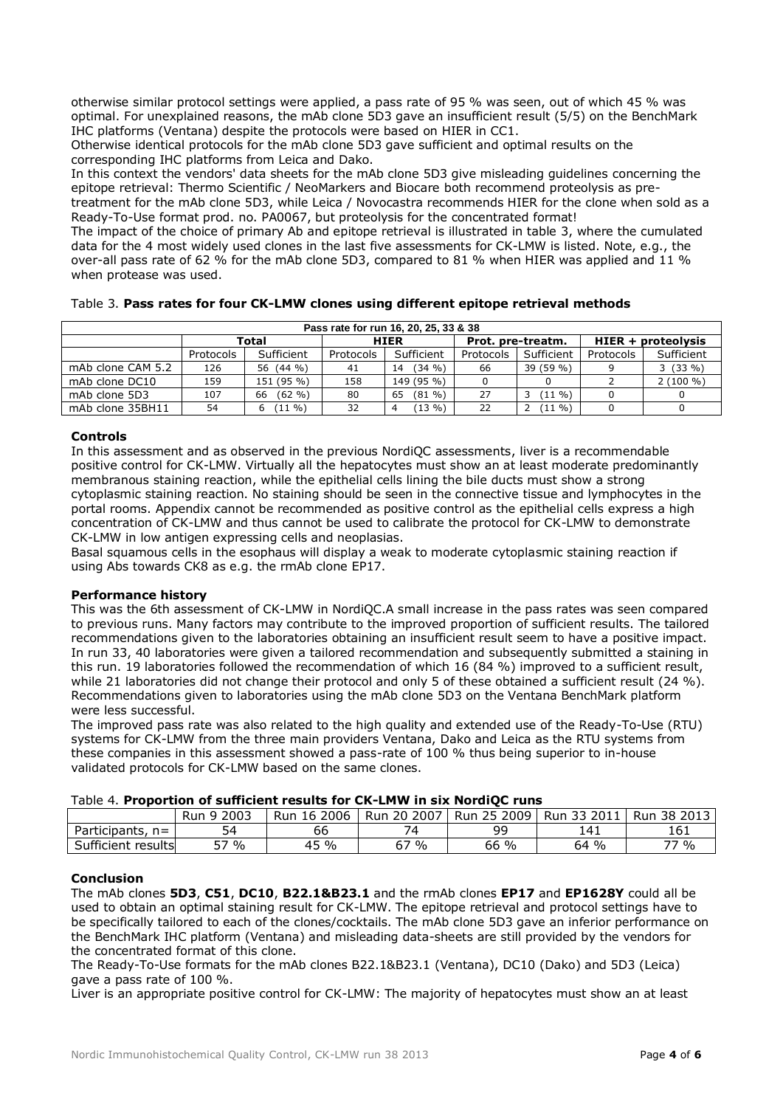otherwise similar protocol settings were applied, a pass rate of 95 % was seen, out of which 45 % was optimal. For unexplained reasons, the mAb clone 5D3 gave an insufficient result (5/5) on the BenchMark IHC platforms (Ventana) despite the protocols were based on HIER in CC1.

Otherwise identical protocols for the mAb clone 5D3 gave sufficient and optimal results on the corresponding IHC platforms from Leica and Dako.

In this context the vendors' data sheets for the mAb clone 5D3 give misleading guidelines concerning the epitope retrieval: Thermo Scientific / NeoMarkers and Biocare both recommend proteolysis as pretreatment for the mAb clone 5D3, while Leica / Novocastra recommends HIER for the clone when sold as a Ready-To-Use format prod. no. PA0067, but proteolysis for the concentrated format!

The impact of the choice of primary Ab and epitope retrieval is illustrated in table 3, where the cumulated data for the 4 most widely used clones in the last five assessments for CK-LMW is listed. Note, e.g., the over-all pass rate of 62 % for the mAb clone 5D3, compared to 81 % when HIER was applied and 11 % when protease was used.

Table 3. **Pass rates for four CK-LMW clones using different epitope retrieval methods**

| Pass rate for run 16, 20, 25, 33 & 38 |           |                          |             |                 |                   |            |                      |             |  |
|---------------------------------------|-----------|--------------------------|-------------|-----------------|-------------------|------------|----------------------|-------------|--|
|                                       |           | Total                    | <b>HIER</b> |                 | Prot. pre-treatm. |            | $HIER + proteolysis$ |             |  |
|                                       | Protocols | Sufficient               | Protocols   | Sufficient      | Protocols         | Sufficient | Protocols            | Sufficient  |  |
| mAb clone CAM 5.2                     | 126       | 56 (44 %)                | 41          | (34 %)<br>14    | 66                | 39 (59 %)  |                      | $3(33\%)$   |  |
| mAb clone DC10                        | 159       | 151 (95 %)               | 158         | 149 (95 %)      |                   |            |                      | $2(100\% )$ |  |
| mAb clone 5D3                         | 107       | $(62 \frac{9}{6})$<br>66 | 80          | $(81 \%)$<br>65 | 27                | $(11 \%)$  |                      |             |  |
| mAb clone 35BH11                      | 54        | $(11 \%)$<br>6.          | 32          | $13\%$          | 22                | $(11 \%)$  |                      |             |  |

## **Controls**

In this assessment and as observed in the previous NordiQC assessments, liver is a recommendable positive control for CK-LMW. Virtually all the hepatocytes must show an at least moderate predominantly membranous staining reaction, while the epithelial cells lining the bile ducts must show a strong cytoplasmic staining reaction. No staining should be seen in the connective tissue and lymphocytes in the portal rooms. Appendix cannot be recommended as positive control as the epithelial cells express a high concentration of CK-LMW and thus cannot be used to calibrate the protocol for CK-LMW to demonstrate CK-LMW in low antigen expressing cells and neoplasias.

Basal squamous cells in the esophaus will display a weak to moderate cytoplasmic staining reaction if using Abs towards CK8 as e.g. the rmAb clone EP17.

## **Performance history**

This was the 6th assessment of CK-LMW in NordiQC.A small increase in the pass rates was seen compared to previous runs. Many factors may contribute to the improved proportion of sufficient results. The tailored recommendations given to the laboratories obtaining an insufficient result seem to have a positive impact. In run 33, 40 laboratories were given a tailored recommendation and subsequently submitted a staining in this run. 19 laboratories followed the recommendation of which 16 (84 %) improved to a sufficient result, while 21 laboratories did not change their protocol and only 5 of these obtained a sufficient result (24 %). Recommendations given to laboratories using the mAb clone 5D3 on the Ventana BenchMark platform were less successful.

The improved pass rate was also related to the high quality and extended use of the Ready-To-Use (RTU) systems for CK-LMW from the three main providers Ventana, Dako and Leica as the RTU systems from these companies in this assessment showed a pass-rate of 100 % thus being superior to in-house validated protocols for CK-LMW based on the same clones.

| Table 4. Proportion of sufficient results for CK-LMW in six NordiQC runs |
|--------------------------------------------------------------------------|
|--------------------------------------------------------------------------|

|                        | Run 9 2003 | 16 2006<br>Run | Run 20 2007 | Run 25 2009 | Run 33 2011 | 38 2013<br>Run |
|------------------------|------------|----------------|-------------|-------------|-------------|----------------|
| Participants,<br>$n =$ | 54         | 66             |             | 99          | 141         | 161            |
| Sufficient<br>results  | 57 %       | 45 %           | 67%         | 66 %        | 64 %        | 77 %           |

## **Conclusion**

The mAb clones **5D3**, **C51**, **DC10**, **B22.1&B23.1** and the rmAb clones **EP17** and **EP1628Y** could all be used to obtain an optimal staining result for CK-LMW. The epitope retrieval and protocol settings have to be specifically tailored to each of the clones/cocktails. The mAb clone 5D3 gave an inferior performance on the BenchMark IHC platform (Ventana) and misleading data-sheets are still provided by the vendors for the concentrated format of this clone.

The Ready-To-Use formats for the mAb clones B22.1&B23.1 (Ventana), DC10 (Dako) and 5D3 (Leica) gave a pass rate of 100 %.

Liver is an appropriate positive control for CK-LMW: The majority of hepatocytes must show an at least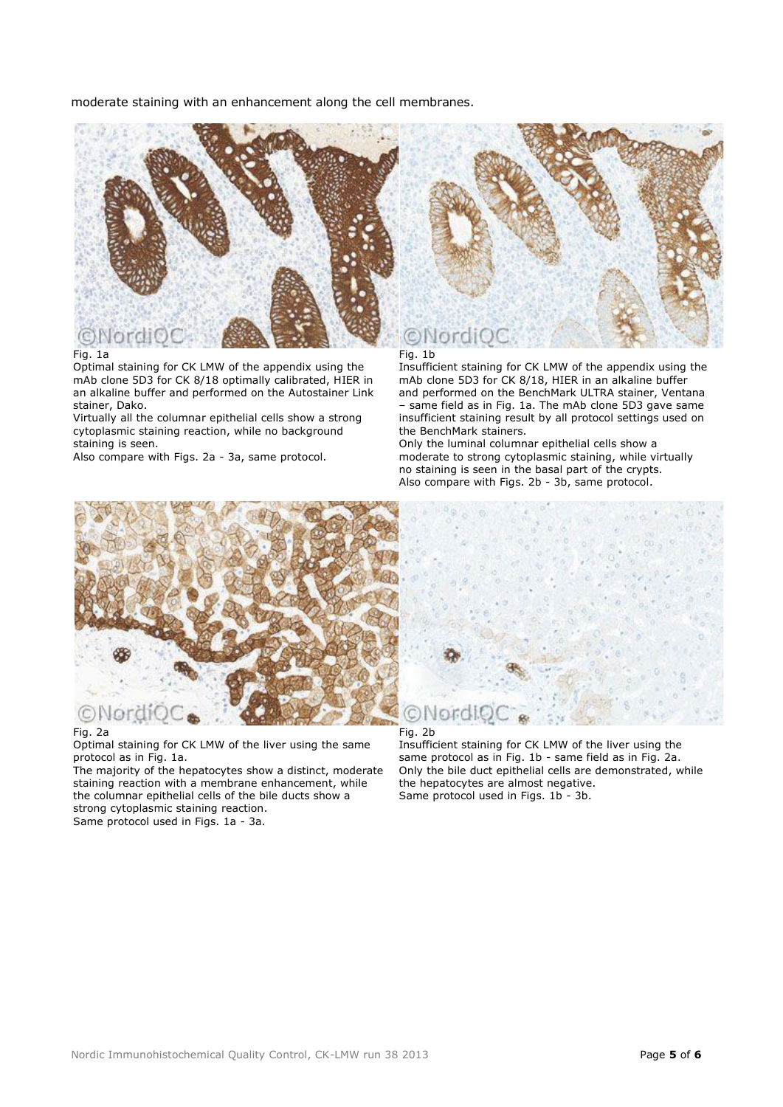moderate staining with an enhancement along the cell membranes.



#### Fig. 1a

Optimal staining for CK LMW of the appendix using the mAb clone 5D3 for CK 8/18 optimally calibrated, HIER in an alkaline buffer and performed on the Autostainer Link stainer, Dako.

Virtually all the columnar epithelial cells show a strong cytoplasmic staining reaction, while no background staining is seen.

Also compare with Figs. 2a - 3a, same protocol.

Fig. 1b

Insufficient staining for CK LMW of the appendix using the mAb clone 5D3 for CK 8/18, HIER in an alkaline buffer and performed on the BenchMark ULTRA stainer, Ventana same field as in Fig. 1a. The mAb clone 5D3 gave same insufficient staining result by all protocol settings used on the BenchMark stainers.

Only the luminal columnar epithelial cells show a moderate to strong cytoplasmic staining, while virtually no staining is seen in the basal part of the crypts. Also compare with Figs. 2b - 3b, same protocol.



#### Fig. 2a

Optimal staining for CK LMW of the liver using the same protocol as in Fig. 1a.

The majority of the hepatocytes show a distinct, moderate staining reaction with a membrane enhancement, while the columnar epithelial cells of the bile ducts show a strong cytoplasmic staining reaction. Same protocol used in Figs. 1a - 3a.



Fig. 2b

Insufficient staining for CK LMW of the liver using the same protocol as in Fig. 1b - same field as in Fig. 2a. Only the bile duct epithelial cells are demonstrated, while the hepatocytes are almost negative. Same protocol used in Figs. 1b - 3b.